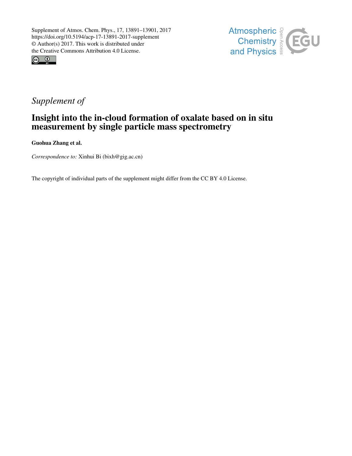



# *Supplement of*

## Insight into the in-cloud formation of oxalate based on in situ measurement by single particle mass spectrometry

Guohua Zhang et al.

*Correspondence to:* Xinhui Bi (bixh@gig.ac.cn)

The copyright of individual parts of the supplement might differ from the CC BY 4.0 License.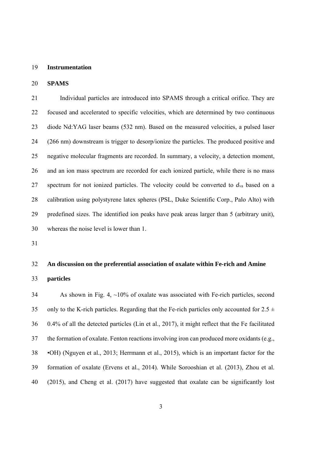#### 19 **Instrumentation**

#### 20 **SPAMS**

21 Individual particles are introduced into SPAMS through a critical orifice. They are 22 focused and accelerated to specific velocities, which are determined by two continuous 23 diode Nd:YAG laser beams (532 nm). Based on the measured velocities, a pulsed laser 24 (266 nm) downstream is trigger to desorp/ionize the particles. The produced positive and 25 negative molecular fragments are recorded. In summary, a velocity, a detection moment, 26 and an ion mass spectrum are recorded for each ionized particle, while there is no mass 27 spectrum for not ionized particles. The velocity could be converted to *d*va based on a 28 calibration using polystyrene latex spheres (PSL, Duke Scientific Corp., Palo Alto) with 29 predefined sizes. The identified ion peaks have peak areas larger than 5 (arbitrary unit), 30 whereas the noise level is lower than 1.

31

### 32 **An discussion on the preferential association of oxalate within Fe-rich and Amine**

33 **particles** 

34 As shown in Fig. 4, ~10% of oxalate was associated with Fe-rich particles, second 35 only to the K-rich particles. Regarding that the Fe-rich particles only accounted for  $2.5 \pm$ 36 0.4% of all the detected particles (Lin et al., 2017), it might reflect that the Fe facilitated 37 the formation of oxalate. Fenton reactions involving iron can produced more oxidants (e.g., 38 •OH) (Nguyen et al., 2013; Herrmann et al., 2015), which is an important factor for the 39 formation of oxalate (Ervens et al., 2014). While Sorooshian et al. (2013), Zhou et al. 40 (2015), and Cheng et al. (2017) have suggested that oxalate can be significantly lost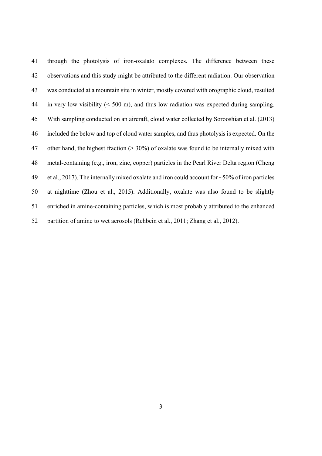| 41 | through the photolysis of iron-oxalato complexes. The difference between these                      |
|----|-----------------------------------------------------------------------------------------------------|
| 42 | observations and this study might be attributed to the different radiation. Our observation         |
| 43 | was conducted at a mountain site in winter, mostly covered with orographic cloud, resulted          |
| 44 | in very low visibility $(< 500 \text{ m})$ , and thus low radiation was expected during sampling.   |
| 45 | With sampling conducted on an aircraft, cloud water collected by Sorooshian et al. (2013)           |
| 46 | included the below and top of cloud water samples, and thus photolysis is expected. On the          |
| 47 | other hand, the highest fraction ( $>$ 30%) of oxalate was found to be internally mixed with        |
| 48 | metal-containing (e.g., iron, zinc, copper) particles in the Pearl River Delta region (Cheng        |
| 49 | et al., 2017). The internally mixed oxalate and iron could account for $\sim$ 50% of iron particles |
| 50 | at nighttime (Zhou et al., 2015). Additionally, oxalate was also found to be slightly               |
| 51 | enriched in amine-containing particles, which is most probably attributed to the enhanced           |
| 52 | partition of amine to wet aerosols (Rehbein et al., 2011; Zhang et al., 2012).                      |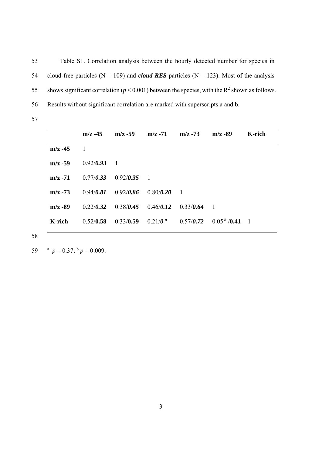53 Table S1. Correlation analysis between the hourly detected number for species in 54 cloud-free particles ( $N = 109$ ) and *cloud RES* particles ( $N = 123$ ). Most of the analysis 55 shows significant correlation ( $p < 0.001$ ) between the species, with the R<sup>2</sup> shown as follows. 56 Results without significant correlation are marked with superscripts a and b.

57

|            | $m/z -45$ | $m/z - 59$     | $m/z - 71$              | $m/z - 73$     | $m/z - 89$               | K-rich |
|------------|-----------|----------------|-------------------------|----------------|--------------------------|--------|
| $m/z - 45$ |           |                |                         |                |                          |        |
| $m/z - 59$ | 0.92/0.93 | $\overline{1}$ |                         |                |                          |        |
| $m/z - 71$ | 0.77/0.33 | $0.92/0.35$ 1  |                         |                |                          |        |
| $m/z - 73$ | 0.94/0.81 | 0.92/0.86      | 0.80/0.20               | $\overline{1}$ |                          |        |
| $m/z - 89$ | 0.22/0.32 |                | $0.38/0.45$ $0.46/0.12$ | 0.33/0.64      | $\overline{\phantom{a}}$ |        |
| K-rich     | 0.52/0.58 | 0.33/0.59      | $0.21/0^a$              | 0.57/0.72      | $0.05b$ /0.41 1          |        |
|            |           |                |                         |                |                          |        |

58

59  $a^p = 0.37$ ;  $b^p = 0.009$ .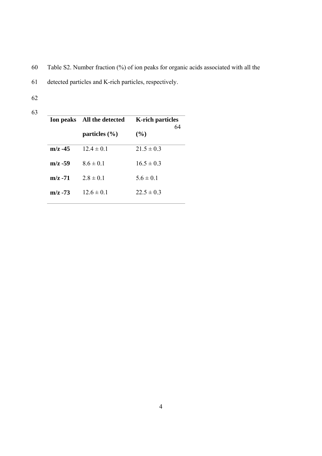- 60 Table S2. Number fraction (%) of ion peaks for organic acids associated with all the
- 61 detected particles and K-rich particles, respectively.
- 62
- 63

|            | Ion peaks All the detected | <b>K-rich particles</b><br>64 |  |
|------------|----------------------------|-------------------------------|--|
|            | particles $(\% )$          | $($ %)                        |  |
| $m/z - 45$ | $12.4 \pm 0.1$             | $21.5 \pm 0.3$                |  |
| $m/z - 59$ | $8.6 \pm 0.1$              | $16.5 \pm 0.3$                |  |
| $m/z - 71$ | $2.8 \pm 0.1$              | $56 \pm 01$                   |  |
| $m/z - 73$ | $12.6 \pm 0.1$             | $22.5 \pm 0.3$                |  |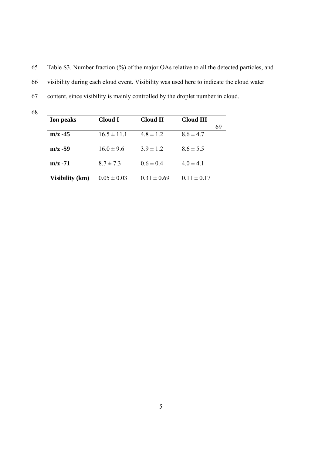65 Table S3. Number fraction (%) of the major OAs relative to all the detected particles, and 66 visibility during each cloud event. Visibility was used here to indicate the cloud water 67 content, since visibility is mainly controlled by the droplet number in cloud.

| <b>Ion peaks</b>       | Cloud I         | Cloud II        | Cloud III       |    |
|------------------------|-----------------|-----------------|-----------------|----|
|                        |                 |                 |                 | 69 |
| $m/z - 45$             | $16.5 \pm 11.1$ | $4.8 \pm 1.2$   | $8.6 \pm 4.7$   |    |
| $m/z - 59$             | $16.0 \pm 9.6$  | $3.9 \pm 1.2$   | $8.6 \pm 5.5$   |    |
| $m/z - 71$             | $8.7 \pm 7.3$   | $0.6 \pm 0.4$   | $4.0 \pm 4.1$   |    |
| <b>Visibility (km)</b> | $0.05 \pm 0.03$ | $0.31 \pm 0.69$ | $0.11 \pm 0.17$ |    |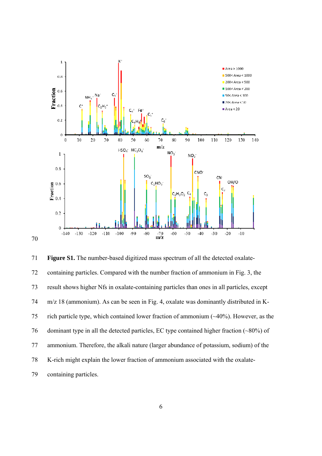

71 **Figure S1.** The number-based digitized mass spectrum of all the detected oxalate-72 containing particles. Compared with the number fraction of ammonium in Fig. 3, the 73 result shows higher Nfs in oxalate-containing particles than ones in all particles, except 74 m/z 18 (ammonium). As can be seen in Fig. 4, oxalate was dominantly distributed in K-75 rich particle type, which contained lower fraction of ammonium (~40%). However, as the 76 dominant type in all the detected particles, EC type contained higher fraction (~80%) of 77 ammonium. Therefore, the alkali nature (larger abundance of potassium, sodium) of the 78 K-rich might explain the lower fraction of ammonium associated with the oxalate-79 containing particles.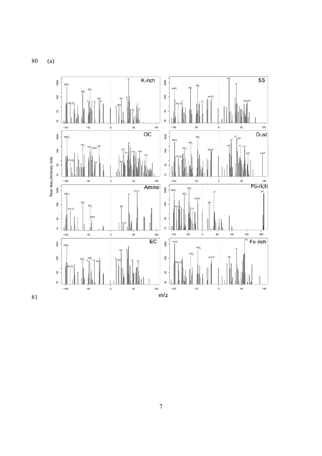80 (a)



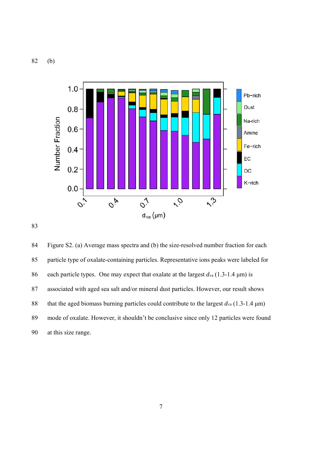82 (b)





84 Figure S2. (a) Average mass spectra and (b) the size-resolved number fraction for each 85 particle type of oxalate-containing particles. Representative ions peaks were labeled for 86 each particle types. One may expect that oxalate at the largest *d*va (1.3-1.4 μm) is 87 associated with aged sea salt and/or mineral dust particles. However, our result shows 88 that the aged biomass burning particles could contribute to the largest *d*va (1.3-1.4 μm) 89 mode of oxalate. However, it shouldn't be conclusive since only 12 particles were found 90 at this size range.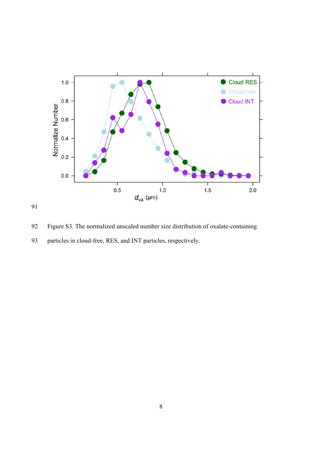

91

92 Figure S3. The normalized unscaled number size distribution of oxalate-containing 93 particles in cloud-free, RES, and INT particles, respectively.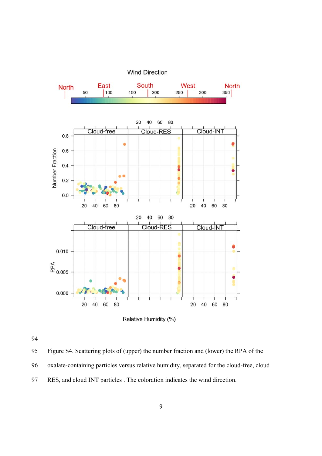

Relative Humidity (%)

95 Figure S4. Scattering plots of (upper) the number fraction and (lower) the RPA of the 96 oxalate-containing particles versus relative humidity, separated for the cloud-free, cloud 97 RES, and cloud INT particles . The coloration indicates the wind direction.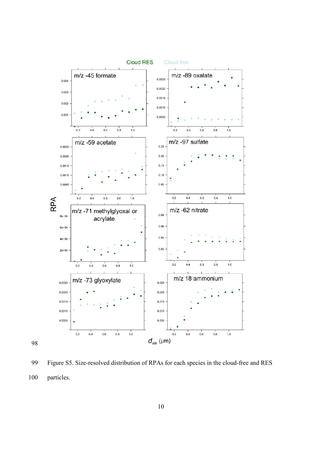

99 Figure S5. Size-resolved distribution of RPAs for each species in the cloud-free and RES 100 particles.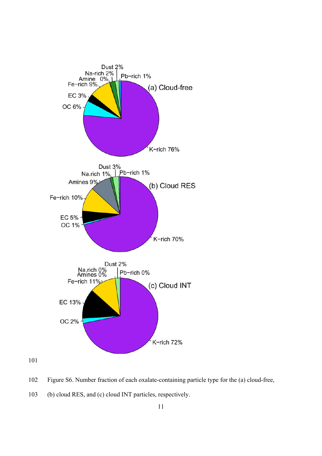

- 102 Figure S6. Number fraction of each oxalate-containing particle type for the (a) cloud-free,
- 103 (b) cloud RES, and (c) cloud INT particles, respectively.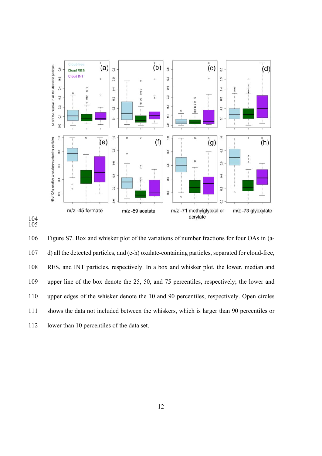

104 105

106 Figure S7. Box and whisker plot of the variations of number fractions for four OAs in (a-107 d) all the detected particles, and (e-h) oxalate-containing particles, separated for cloud-free, 108 RES, and INT particles, respectively. In a box and whisker plot, the lower, median and 109 upper line of the box denote the 25, 50, and 75 percentiles, respectively; the lower and 110 upper edges of the whisker denote the 10 and 90 percentiles, respectively. Open circles 111 shows the data not included between the whiskers, which is larger than 90 percentiles or 112 lower than 10 percentiles of the data set.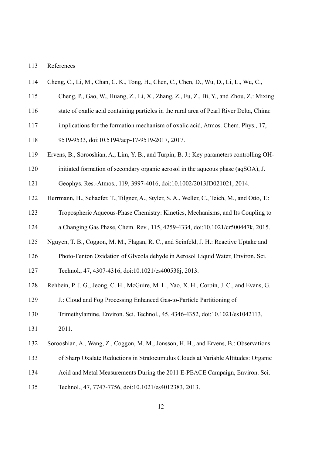#### 113 References

- 114 Cheng, C., Li, M., Chan, C. K., Tong, H., Chen, C., Chen, D., Wu, D., Li, L., Wu, C.,
- 115 Cheng, P., Gao, W., Huang, Z., Li, X., Zhang, Z., Fu, Z., Bi, Y., and Zhou, Z.: Mixing
- 116 state of oxalic acid containing particles in the rural area of Pearl River Delta, China:
- 117 implications for the formation mechanism of oxalic acid, Atmos. Chem. Phys., 17,
- 118 9519-9533, doi:10.5194/acp-17-9519-2017, 2017.
- 119 Ervens, B., Sorooshian, A., Lim, Y. B., and Turpin, B. J.: Key parameters controlling OH-
- 120 initiated formation of secondary organic aerosol in the aqueous phase (aqSOA), J.
- 121 Geophys. Res.-Atmos., 119, 3997-4016, doi:10.1002/2013JD021021, 2014.
- 122 Herrmann, H., Schaefer, T., Tilgner, A., Styler, S. A., Weller, C., Teich, M., and Otto, T.:
- 123 Tropospheric Aqueous-Phase Chemistry: Kinetics, Mechanisms, and Its Coupling to
- 124 a Changing Gas Phase, Chem. Rev., 115, 4259-4334, doi:10.1021/cr500447k, 2015.
- 125 Nguyen, T. B., Coggon, M. M., Flagan, R. C., and Seinfeld, J. H.: Reactive Uptake and
- 126 Photo-Fenton Oxidation of Glycolaldehyde in Aerosol Liquid Water, Environ. Sci.
- 127 Technol., 47, 4307-4316, doi:10.1021/es400538j, 2013.
- 128 Rehbein, P. J. G., Jeong, C. H., McGuire, M. L., Yao, X. H., Corbin, J. C., and Evans, G.
- 129 J.: Cloud and Fog Processing Enhanced Gas-to-Particle Partitioning of
- 130 Trimethylamine, Environ. Sci. Technol., 45, 4346-4352, doi:10.1021/es1042113,
- 131 2011.
- 132 Sorooshian, A., Wang, Z., Coggon, M. M., Jonsson, H. H., and Ervens, B.: Observations
- 133 of Sharp Oxalate Reductions in Stratocumulus Clouds at Variable Altitudes: Organic
- 134 Acid and Metal Measurements During the 2011 E-PEACE Campaign, Environ. Sci.
- 135 Technol., 47, 7747-7756, doi:10.1021/es4012383, 2013.